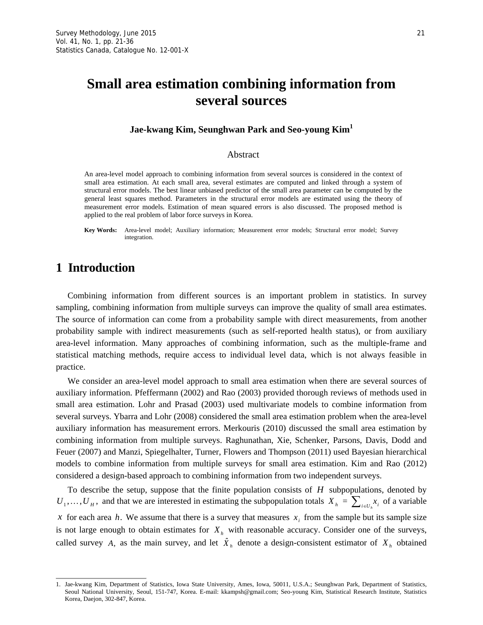# **Small area estimation combining information from several sources**

#### **Jae-kwang Kim, Seunghwan Park and Seo-young Kim<sup>1</sup>**

#### Abstract

An area-level model approach to combining information from several sources is considered in the context of small area estimation. At each small area, several estimates are computed and linked through a system of structural error models. The best linear unbiased predictor of the small area parameter can be computed by the general least squares method. Parameters in the structural error models are estimated using the theory of measurement error models. Estimation of mean squared errors is also discussed. The proposed method is applied to the real problem of labor force surveys in Korea.

**Key Words:** Area-level model; Auxiliary information; Measurement error models; Structural error model; Survey integration.

# **1 Introduction**

Combining information from different sources is an important problem in statistics. In survey sampling, combining information from multiple surveys can improve the quality of small area estimates. The source of information can come from a probability sample with direct measurements, from another probability sample with indirect measurements (such as self-reported health status), or from auxiliary area-level information. Many approaches of combining information, such as the multiple-frame and statistical matching methods, require access to individual level data, which is not always feasible in practice.

We consider an area-level model approach to small area estimation when there are several sources of auxiliary information. Pfeffermann (2002) and Rao (2003) provided thorough reviews of methods used in small area estimation. Lohr and Prasad (2003) used multivariate models to combine information from several surveys. Ybarra and Lohr (2008) considered the small area estimation problem when the area-level auxiliary information has measurement errors. Merkouris (2010) discussed the small area estimation by combining information from multiple surveys. Raghunathan, Xie, Schenker, Parsons, Davis, Dodd and Feuer (2007) and Manzi, Spiegelhalter, Turner, Flowers and Thompson (2011) used Bayesian hierarchical models to combine information from multiple surveys for small area estimation. Kim and Rao (2012) considered a design-based approach to combining information from two independent surveys.

To describe the setup, suppose that the finite population consists of *H* subpopulations, denoted by  $U_1, \ldots, U_H$ , and that we are interested in estimating the subpopulation totals  $X_h = \sum_{i \in U_h} x_i$  of a variable *x* for each area *h*. We assume that there is a survey that measures  $x_i$  from the sample but its sample size is not large enough to obtain estimates for  $X<sub>h</sub>$  with reasonable accuracy. Consider one of the surveys, called survey *A*, as the main survey, and let  $\hat{X}_h$  denote a design-consistent estimator of  $X_h$  obtained

<sup>1.</sup> Jae-kwang Kim, Department of Statistics, Iowa State University, Ames, Iowa, 50011, U.S.A.; Seunghwan Park, Department of Statistics, Seoul National University, Seoul, 151-747, Korea. E-mail: kkampsh@gmail.com; Seo-young Kim, Statistical Research Institute, Statistics Korea, Daejon, 302-847, Korea.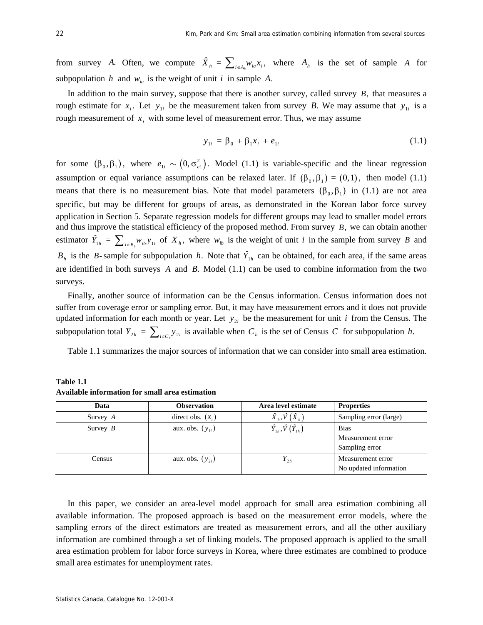from survey *A*. Often, we compute  $\hat{X}_h = \sum_{i \in A_h} w_{ia} x_i$ , where  $A_h$  is the set of sample *A* for subpopulation *h* and  $w_{ia}$  is the weight of unit *i* in sample *A*.

In addition to the main survey, suppose that there is another survey, called survey *B,* that measures a rough estimate for  $x_i$ . Let  $y_{1i}$  be the measurement taken from survey *B*. We may assume that  $y_{1i}$  is a rough measurement of  $x_i$  with some level of measurement error. Thus, we may assume

$$
y_{1i} = \beta_0 + \beta_1 x_i + e_{1i}
$$
 (1.1)

for some  $(\beta_0, \beta_1)$ , where  $e_{1i} \sim (0, \sigma_{e1}^2)$ . Model (1.1) is variable-specific and the linear regression assumption or equal variance assumptions can be relaxed later. If  $(\beta_0, \beta_1) = (0,1)$ , then model (1.1) means that there is no measurement bias. Note that model parameters  $(\beta_0, \beta_1)$  in (1.1) are not area specific, but may be different for groups of areas, as demonstrated in the Korean labor force survey application in Section 5. Separate regression models for different groups may lead to smaller model errors and thus improve the statistical efficiency of the proposed method. From survey *B,* we can obtain another estimator  $\hat{Y}_{1h} = \sum_{i \in B_h} W_{ib} y_{1i}$  of  $X_h$ , where  $W_{ib}$  is the weight of unit *i* in the sample from survey *B* and  $B<sub>h</sub>$  is the *B*-sample for subpopulation *h*. Note that  $\hat{Y}_{1h}$  can be obtained, for each area, if the same areas are identified in both surveys *A* and *B.* Model (1.1) can be used to combine information from the two surveys.

Finally, another source of information can be the Census information. Census information does not suffer from coverage error or sampling error. But, it may have measurement errors and it does not provide updated information for each month or year. Let  $y_{2i}$  be the measurement for unit *i* from the Census. The subpopulation total  $Y_{2h} = \sum_{i \in C_h} y_{2i}$  is available when  $C_h$  is the set of Census *C* for subpopulation *h*.

Table 1.1 summarizes the major sources of information that we can consider into small area estimation.

| Data       | <b>Observation</b>   | Area level estimate                      | <b>Properties</b>      |
|------------|----------------------|------------------------------------------|------------------------|
| Survey A   | direct obs. $(x_i)$  | $\hat{X}_h, \hat{V}(\hat{X}_h)$          | Sampling error (large) |
| Survey $B$ | aux. obs. $(y_{1i})$ | $\hat{Y}_{1h}$ , $\hat{V}(\hat{Y}_{1h})$ | <b>Bias</b>            |
|            |                      |                                          | Measurement error      |
|            |                      |                                          | Sampling error         |
| Census     | aux. obs. $(y_{2i})$ | $Y_{2h}$                                 | Measurement error      |
|            |                      |                                          | No updated information |

**Table 1.1 Available information for small area estimation** 

In this paper, we consider an area-level model approach for small area estimation combining all available information. The proposed approach is based on the measurement error models, where the sampling errors of the direct estimators are treated as measurement errors, and all the other auxiliary information are combined through a set of linking models. The proposed approach is applied to the small area estimation problem for labor force surveys in Korea, where three estimates are combined to produce small area estimates for unemployment rates.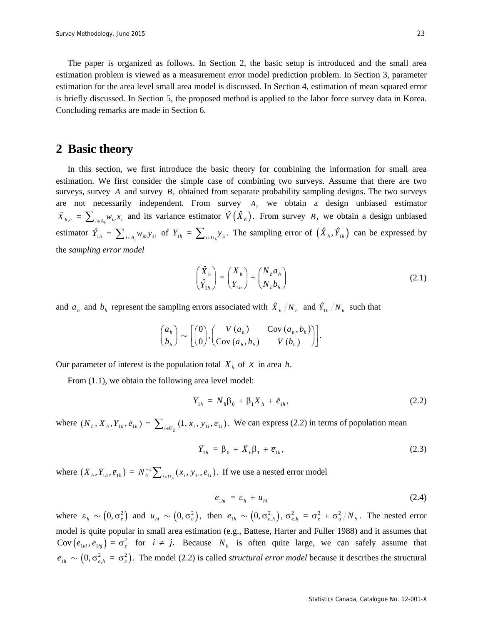The paper is organized as follows. In Section 2, the basic setup is introduced and the small area estimation problem is viewed as a measurement error model prediction problem. In Section 3, parameter estimation for the area level small area model is discussed. In Section 4, estimation of mean squared error is briefly discussed. In Section 5, the proposed method is applied to the labor force survey data in Korea. Concluding remarks are made in Section 6.

### **2 Basic theory**

In this section, we first introduce the basic theory for combining the information for small area estimation. We first consider the simple case of combining two surveys. Assume that there are two surveys, survey *A* and survey *B,* obtained from separate probability sampling designs. The two surveys are not necessarily independent. From survey *A,* we obtain a design unbiased estimator  $\hat{X}_{h,a} = \sum_{i \in A_h} w_{ia} x_i$  and its variance estimator  $\hat{V}(\hat{X}_h)$ . From survey *B*, we obtain a design unbiased estimator  $\hat{Y}_{1h} = \sum_{i \in B_h} w_{ib} y_{1i}$  of  $Y_{1h} = \sum_{i \in U_h} y_{1i}$ . The sampling error of  $(\hat{X}_h, \hat{Y}_{1h})$  can be expressed by the *sampling error model*

$$
\begin{pmatrix} \hat{X}_h \\ \hat{Y}_{1h} \end{pmatrix} = \begin{pmatrix} X_h \\ Y_{1h} \end{pmatrix} + \begin{pmatrix} N_h a_h \\ N_h b_h \end{pmatrix}
$$
\n(2.1)

and  $a_h$  and  $b_h$  represent the sampling errors associated with  $\hat{X}_h/N_h$  and  $\hat{Y}_{1h}/N_h$  such that

$$
\binom{a_h}{b_h} \sim \left[\!\!\left(\begin{matrix}0\\0\end{matrix}\!\!\right)\!,\!\!\left(\begin{matrix}V\left(a_h\right)&\mathrm{Cov}\left(a_h,b_h\right)\\ \mathrm{Cov}\left(a_h,b_h\right)&V\left(b_h\right)\end{matrix}\!\!\right)\!\!\right].
$$

Our parameter of interest is the population total  $X_h$  of  $x$  in area  $h$ .

From  $(1.1)$ , we obtain the following area level model:

$$
Y_{1h} = N_h \beta_0 + \beta_1 X_h + \tilde{e}_{1h}, \qquad (2.2)
$$

where  $(N_h, X_h, Y_{1h}, \tilde{e}_{1h}) = \sum_{i \in U_h} (1, x_i, y_{1i}, e_{1i})$ . We can express (2.2) in terms of population mean

$$
\overline{Y}_{1h} = \beta_0 + \overline{X}_h \beta_1 + \overline{e}_{1h}, \qquad (2.3)
$$

where  $(\bar{X}_h, \bar{Y}_{1h}, \bar{e}_{1h}) = N_h^{-1} \sum_{i \in U_h} (x_i, y_{1i}, e_{1i})$ . If we use a nested error model

$$
e_{1hi} = \varepsilon_h + u_{hi} \tag{2.4}
$$

where  $\varepsilon_h \sim (0, \sigma_e^2)$  and  $u_{hi} \sim (0, \sigma_u^2)$ , then  $\overline{e}_{1h} \sim (0, \sigma_{e,h}^2)$ ,  $\sigma_{e,h}^2 = \sigma_e^2 + \sigma_u^2/N_h$ . The nested error model is quite popular in small area estimation (e.g., Battese, Harter and Fuller 1988) and it assumes that  $Cov(e_{1hi}, e_{1hj}) = \sigma_e^2$  for  $i \neq j$ . Because  $N_h$  is often quite large, we can safely assume that  $\overline{e}_{1h} \sim (0, \sigma_{e,h}^2 = \sigma_e^2)$ . The model (2.2) is called *structural error model* because it describes the structural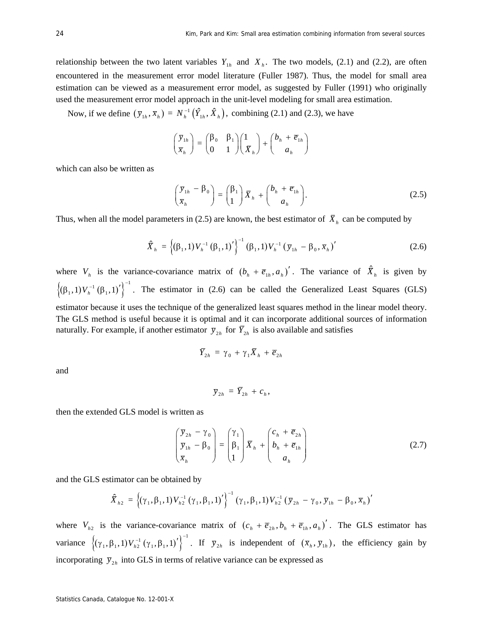relationship between the two latent variables  $Y_{1h}$  and  $X_h$ . The two models, (2.1) and (2.2), are often encountered in the measurement error model literature (Fuller 1987). Thus, the model for small area estimation can be viewed as a measurement error model, as suggested by Fuller (1991) who originally used the measurement error model approach in the unit-level modeling for small area estimation.

Now, if we define  $(\bar{y}_{1h}, \bar{x}_h) = N_h^{-1} (\hat{Y}_{1h}, \hat{X}_h)$ , combining (2.1) and (2.3), we have

$$
\begin{pmatrix} \overline{y}_{1h} \\ \overline{x}_h \end{pmatrix} = \begin{pmatrix} \beta_0 & \beta_1 \\ 0 & 1 \end{pmatrix} \begin{pmatrix} 1 \\ \overline{X}_h \end{pmatrix} + \begin{pmatrix} b_h + \overline{e}_{1h} \\ a_h \end{pmatrix}
$$

which can also be written as

$$
\begin{pmatrix} \overline{y}_{1h} - \beta_0 \\ \overline{x}_h \end{pmatrix} = \begin{pmatrix} \beta_1 \\ 1 \end{pmatrix} \overline{X}_h + \begin{pmatrix} b_h + \overline{e}_{1h} \\ a_h \end{pmatrix}.
$$
 (2.5)

Thus, when all the model parameters in (2.5) are known, the best estimator of  $\overline{X}_h$  can be computed by

$$
\hat{\overline{X}}_{h} = \left\{ (\beta_{1}, 1) V_{h}^{-1} (\beta_{1}, 1)' \right\}^{-1} (\beta_{1}, 1) V_{h}^{-1} (\overline{y}_{1h} - \beta_{0}, \overline{x}_{h})'
$$
(2.6)

where  $V_h$  is the variance-covariance matrix of  $(b_h + \overline{e}_{1h}, a_h)'$ . The variance of  $\hat{X}_h$  is given by  $\left\{ (\beta_1, 1) V_h^{-1} (\beta_1, 1)'\right\}^{-1}$ . The estimator in (2.6) can be called the Generalized Least Squares (GLS) estimator because it uses the technique of the generalized least squares method in the linear model theory. The GLS method is useful because it is optimal and it can incorporate additional sources of information naturally. For example, if another estimator  $\bar{y}_{2h}$  for  $\bar{Y}_{2h}$  is also available and satisfies

$$
\overline{Y}_{2h} = \gamma_0 + \gamma_1 \overline{X}_h + \overline{e}_{2h}
$$

and

$$
\overline{y}_{2h} = \overline{Y}_{2h} + c_h,
$$

then the extended GLS model is written as

$$
\begin{pmatrix} \overline{y}_{2h} - \gamma_0 \\ \overline{y}_{1h} - \beta_0 \\ \overline{x}_h \end{pmatrix} = \begin{pmatrix} \gamma_1 \\ \beta_1 \\ 1 \end{pmatrix} \overline{X}_h + \begin{pmatrix} c_h + \overline{e}_{2h} \\ b_h + \overline{e}_{1h} \\ a_h \end{pmatrix}
$$
(2.7)

and the GLS estimator can be obtained by

$$
\hat{\overline{X}}_{h2} = \left\{ (\gamma_1, \beta_1, 1) V_{h2}^{-1} (\gamma_1, \beta_1, 1)' \right\}^{-1} (\gamma_1, \beta_1, 1) V_{h2}^{-1} (\overline{y}_{2h} - \gamma_0, \overline{y}_{1h} - \beta_0, \overline{x}_h)'
$$

where  $V_{h2}$  is the variance-covariance matrix of  $(c_h + \overline{e}_{2h}, b_h + \overline{e}_{1h}, a_h)'$ . The GLS estimator has variance  $\left\{(\gamma_1, \beta_1, 1) V_{h2}^{-1} (\gamma_1, \beta_1, 1)'\right\}^{-1}$ . If  $\overline{y}_{2h}$  is independent of  $(\overline{x}_h, \overline{y}_{1h})$ , the efficiency gain by incorporating  $\bar{y}_{2h}$  into GLS in terms of relative variance can be expressed as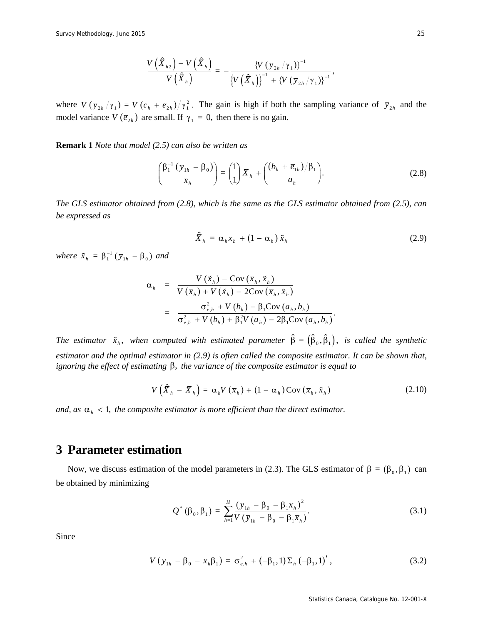$$
\frac{V\left(\widehat{X}_{h2}\right)-V\left(\widehat{X}_{h}\right)}{V\left(\widehat{X}_{h}\right)}=-\frac{\left\{V\left(\overline{\mathrm{y}}_{2h}/\gamma_{1}\right)\right\}^{-1}}{\left\{V\left(\widehat{X}_{h}\right)\right\}^{-1}+\left\{V\left(\overline{\mathrm{y}}_{2h}/\gamma_{1}\right)\right\}^{-1}},
$$

where  $V(\bar{y}_{2h}/\gamma_1) = V(c_h + \bar{e}_{2h})/\gamma_1^2$ . The gain is high if both the sampling variance of  $\bar{y}_{2h}$  and the model variance  $V(\overline{e}_{2h})$  are small. If  $\gamma_1 = 0$ , then there is no gain.

**Remark 1** *Note that model (2.5) can also be written as* 

$$
\begin{pmatrix} \beta_1^{-1} \left( \overline{y}_{1h} - \beta_0 \right) \\ \overline{x}_h \end{pmatrix} = \begin{pmatrix} 1 \\ 1 \end{pmatrix} \overline{X}_h + \begin{pmatrix} (b_h + \overline{e}_{1h})/\beta_1 \\ a_h \end{pmatrix}.
$$
 (2.8)

*The GLS estimator obtained from (2.8), which is the same as the GLS estimator obtained from (2.5), can be expressed as* 

$$
\hat{\overline{X}}_h = \alpha_h \overline{x}_h + (1 - \alpha_h) \tilde{x}_h \tag{2.9}
$$

*where*  $\tilde{x}_h = \beta_1^{-1} (\bar{y}_{1h} - \beta_0)$  *and* 

$$
\alpha_{h} = \frac{V(\tilde{x}_{h}) - \text{Cov}(\bar{x}_{h}, \tilde{x}_{h})}{V(\bar{x}_{h}) + V(\tilde{x}_{h}) - 2\text{Cov}(\bar{x}_{h}, \tilde{x}_{h})}
$$
  

$$
= \frac{\sigma_{e,h}^{2} + V(b_{h}) - \beta_{1}\text{Cov}(a_{h}, b_{h})}{\sigma_{e,h}^{2} + V(b_{h}) + \beta_{1}^{2}V(a_{h}) - 2\beta_{1}\text{Cov}(a_{h}, b_{h})}.
$$

*The estimator*  $\tilde{x}_h$ , when computed with estimated parameter  $\hat{\beta} = (\hat{\beta}_0, \hat{\beta}_1)$ , is called the synthetic *estimator and the optimal estimator in (2.9) is often called the composite estimator. It can be shown that, ignoring the effect of estimating*  $\beta$ , *the variance of the composite estimator is equal to* 

$$
V\left(\hat{\overline{X}}_h - \overline{X}_h\right) = \alpha_h V\left(\overline{x}_h\right) + \left(1 - \alpha_h\right) \text{Cov}\left(\overline{x}_h, \tilde{x}_h\right) \tag{2.10}
$$

*and, as*  $\alpha_h < 1$ *, the composite estimator is more efficient than the direct estimator.* 

# **3 Parameter estimation**

Now, we discuss estimation of the model parameters in (2.3). The GLS estimator of  $\beta = (\beta_0, \beta_1)$  can be obtained by minimizing

$$
Q^*(\beta_0, \beta_1) = \sum_{h=1}^H \frac{(\bar{y}_{1h} - \beta_0 - \beta_1 \bar{x}_h)^2}{V(\bar{y}_{1h} - \beta_0 - \beta_1 \bar{x}_h)}.
$$
(3.1)

Since

$$
V(\bar{y}_{1h} - \beta_0 - \bar{x}_h \beta_1) = \sigma_{e,h}^2 + (-\beta_1, 1) \Sigma_h (-\beta_1, 1)',
$$
 (3.2)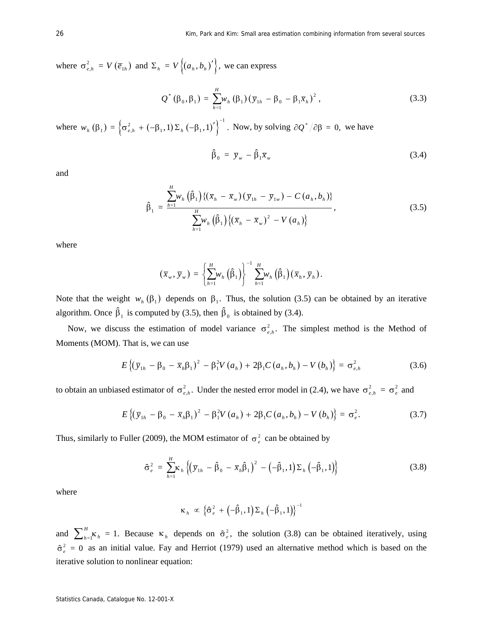where  $\sigma_{e,h}^2 = V(\overline{e}_{1h})$  and  $\Sigma_h = V\{(a_h, b_h)'\}$ , we can express

$$
Q^*(\beta_0, \beta_1) = \sum_{h=1}^H w_h(\beta_1) (\bar{y}_{1h} - \beta_0 - \beta_1 \bar{x}_h)^2,
$$
 (3.3)

where  $w_h(\beta_1) = \left\{\sigma_{e,h}^2 + (-\beta_1, 1) \Sigma_h(-\beta_1, 1)'\right\}^{-1}$ . Now, by solving  $\partial Q^*/\partial \beta = 0$ , we have

$$
\hat{\beta}_0 = \bar{y}_w - \hat{\beta}_1 \bar{x}_w \tag{3.4}
$$

and

$$
\hat{\beta}_1 = \frac{\sum_{h=1}^{H} w_h \left( \hat{\beta}_1 \right) \{ (\bar{x}_h - \bar{x}_w) (\bar{y}_{1h} - \bar{y}_{1w}) - C (a_h, b_h) \}}{\sum_{h=1}^{H} w_h \left( \hat{\beta}_1 \right) \{ (\bar{x}_h - \bar{x}_w)^2 - V (a_h) \}}, \tag{3.5}
$$

where

$$
(\overline{x}_{w}, \overline{y}_{w}) = \left\{ \sum_{h=1}^{H} w_{h} \left( \hat{\beta}_{1} \right) \right\}^{-1} \sum_{h=1}^{H} w_{h} \left( \hat{\beta}_{1} \right) (\overline{x}_{h}, \overline{y}_{h}).
$$

Note that the weight  $w_h(\beta_1)$  depends on  $\beta_1$ . Thus, the solution (3.5) can be obtained by an iterative algorithm. Once  $\hat{\beta}_1$  is computed by (3.5), then  $\hat{\beta}_0$  is obtained by (3.4).

Now, we discuss the estimation of model variance  $\sigma_{e,h}^2$ . The simplest method is the Method of Moments (MOM). That is, we can use

$$
E\left\{(\bar{y}_{1h} - \beta_0 - \bar{x}_h\beta_1)^2 - \beta_1^2 V(a_h) + 2\beta_1 C(a_h, b_h) - V(b_h)\right\} = \sigma_{e,h}^2
$$
 (3.6)

to obtain an unbiased estimator of  $\sigma_{e,h}^2$ . Under the nested error model in (2.4), we have  $\sigma_{e,h}^2 = \sigma_e^2$  and

$$
E\left\{(\bar{y}_{1h} - \beta_0 - \bar{x}_h\beta_1)^2 - \beta_1^2 V(a_h) + 2\beta_1 C(a_h, b_h) - V(b_h)\right\} = \sigma_e^2.
$$
 (3.7)

Thus, similarly to Fuller (2009), the MOM estimator of  $\sigma_e^2$  can be obtained by

$$
\hat{\sigma}_e^2 = \sum_{h=1}^H \kappa_h \left\{ \left( \bar{y}_{1h} - \hat{\beta}_0 - \bar{x}_h \hat{\beta}_1 \right)^2 - \left( -\hat{\beta}_1, 1 \right) \Sigma_h \left( -\hat{\beta}_1, 1 \right) \right\} \tag{3.8}
$$

where

$$
\kappa_h \propto \left\{\hat{\sigma}_e^2 + \left(-\hat{\beta}_1, 1\right)\Sigma_h\left(-\hat{\beta}_1, 1\right)\right\}^{-1}
$$

and  $\sum_{h=1}^{H} \kappa_h = 1$ . Because  $\kappa_h$  depends on  $\hat{\sigma}_e^2$ , the solution (3.8) can be obtained iteratively, using  $\hat{\sigma}_{e}^{2} = 0$  as an initial value. Fay and Herriot (1979) used an alternative method which is based on the iterative solution to nonlinear equation: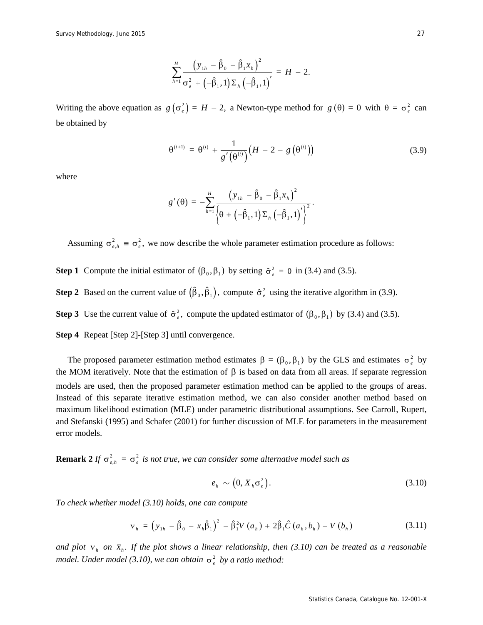$$
\sum_{h=1}^H \frac{\left(\bar{y}_{1h} - \hat{\beta}_0 - \hat{\beta}_1 \bar{x}_h\right)^2}{\sigma_e^2 + \left(-\hat{\beta}_1, 1\right) \Sigma_h \left(-\hat{\beta}_1, 1\right)} = H - 2.
$$

Writing the above equation as  $g(\sigma_e^2) = H - 2$ , a Newton-type method for  $g(\theta) = 0$  with  $\theta = \sigma_e^2$  can be obtained by

$$
\theta^{(t+1)} = \theta^{(t)} + \frac{1}{g'(\theta^{(t)})} (H - 2 - g(\theta^{(t)}))
$$
\n(3.9)

where

$$
g'(\theta) = -\sum_{h=1}^H \frac{\left(\bar{y}_{1h} - \hat{\beta}_0 - \hat{\beta}_1 \bar{x}_h\right)^2}{\left\{\theta + \left(-\hat{\beta}_1, 1\right)\Sigma_h \left(-\hat{\beta}_1, 1\right)'\right\}^2}.
$$

Assuming  $\sigma_{e,h}^2 \equiv \sigma_e^2$ , we now describe the whole parameter estimation procedure as follows:

**Step 1** Compute the initial estimator of  $(\beta_0, \beta_1)$  by setting  $\hat{\sigma}_e^2 = 0$  in (3.4) and (3.5).

**Step 2** Based on the current value of  $(\hat{\beta}_0, \hat{\beta}_1)$ , compute  $\hat{\sigma}^2$  using the iterative algorithm in (3.9).

**Step 3** Use the current value of  $\hat{\sigma}_e^2$ , compute the updated estimator of  $(\beta_0, \beta_1)$  by (3.4) and (3.5).

**Step 4** Repeat [Step 2]-[Step 3] until convergence.

The proposed parameter estimation method estimates  $\beta = (\beta_0, \beta_1)$  by the GLS and estimates  $\sigma_e^2$  by the MOM iteratively. Note that the estimation of  $\beta$  is based on data from all areas. If separate regression models are used, then the proposed parameter estimation method can be applied to the groups of areas. Instead of this separate iterative estimation method, we can also consider another method based on maximum likelihood estimation (MLE) under parametric distributional assumptions. See Carroll, Rupert, and Stefanski (1995) and Schafer (2001) for further discussion of MLE for parameters in the measurement error models.

**Remark 2** *If*  $\sigma_{e,h}^2 = \sigma_e^2$  *is not true, we can consider some alternative model such as* 

$$
\overline{e}_h \sim \left(0, \overline{X}_h \sigma_e^2\right). \tag{3.10}
$$

*To check whether model (3.10) holds, one can compute* 

$$
v_{h} = (\bar{y}_{1h} - \hat{\beta}_{0} - \bar{x}_{h}\hat{\beta}_{1})^{2} - \hat{\beta}_{1}^{2}V(a_{h}) + 2\hat{\beta}_{1}\hat{C}(a_{h}, b_{h}) - V(b_{h})
$$
\n(3.11)

and plot  $v_h$  on  $\bar{x}_h$ . If the plot shows a linear relationship, then (3.10) can be treated as a reasonable *model. Under model (3.10), we can obtain*  $\sigma_e^2$  *by a ratio method:*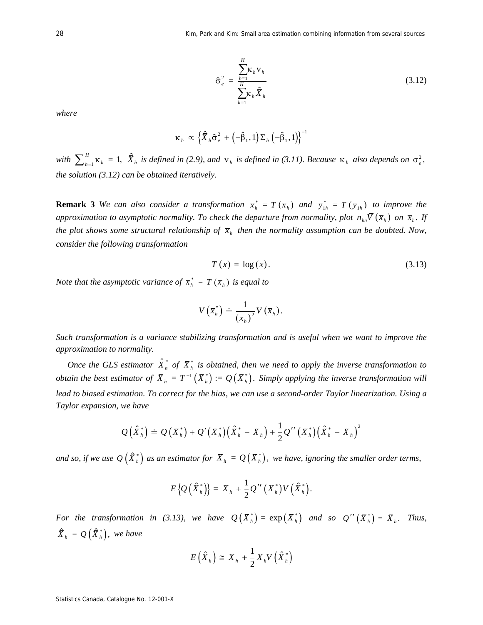$$
\hat{\sigma}_e^2 = \frac{\sum_{h=1}^H \kappa_h \nu_h}{\sum_{h=1}^H \kappa_h \hat{\overline{X}}_h}
$$
(3.12)

*where* 

$$
\kappa_h \propto \left\{ \hat{X}_h \hat{\sigma}_e^2 + \left( -\hat{\beta}_1, 1 \right) \Sigma_h \left( -\hat{\beta}_1, 1 \right) \right\}^{-1}
$$

*with*  $\sum_{h=1}^{H} \kappa_h = 1$ ,  $\hat{X}_h$  *is defined in* (2.9), and  $v_h$  *is defined in* (3.11). Because  $\kappa_h$  also depends on  $\sigma_e^2$ , *the solution (3.12) can be obtained iteratively.* 

**Remark 3** *We can also consider a transformation*  $\overline{x}_h^* = T(\overline{x}_h)$  *and*  $\overline{y}_{1h}^* = T(\overline{y}_{1h})$  *to improve the approximation to asymptotic normality. To check the departure from normality, plot*  $n_{ha} \overline{V}(\overline{x}_h)$  *on*  $\overline{x}_h$ . If *the plot shows some structural relationship of*  $\bar{x}_h$  *then the normality assumption can be doubted. Now, consider the following transformation* 

$$
T(x) = \log(x). \tag{3.13}
$$

*Note that the asymptotic variance of*  $\overline{x}_h^* = T(\overline{x}_h)$  *is equal to* 

$$
V\left(\overline{x}_{h}^{*}\right) \doteq \frac{1}{\left(\overline{x}_{h}\right)^{2}} V\left(\overline{x}_{h}\right).
$$

*Such transformation is a variance stabilizing transformation and is useful when we want to improve the approximation to normality.* 

*Once the GLS estimator*  $\hat{\bar{X}}_h^*$  *of*  $\bar{X}_h^*$  *is obtained, then we need to apply the inverse transformation to obtain the best estimator of*  $\bar{X}_h = T^{-1}(\bar{X}_h^*) \coloneqq Q(\bar{X}_h^*)$ . Simply applying the inverse transformation will *lead to biased estimation. To correct for the bias, we can use a second-order Taylor linearization. Using a Taylor expansion, we have* 

$$
Q\left(\widehat{X}_{h}^{*}\right) \doteq Q\left(\overline{X}_{h}^{*}\right) + Q'\left(\overline{X}_{h}^{*}\right)\left(\widehat{X}_{h}^{*} - \overline{X}_{h}\right) + \frac{1}{2}Q''\left(\overline{X}_{h}^{*}\right)\left(\widehat{X}_{h}^{*} - \overline{X}_{h}\right)^{2}
$$

*and so, if we use*  $Q(\hat{\bar{X}}_h^*)$  *as an estimator for*  $\bar{X}_h = Q(\bar{X}_h^*)$ *, we have, ignoring the smaller order terms,* 

$$
E\left\{Q\left(\widehat{X}_{h}^{*}\right)\right\} = \overline{X}_{h} + \frac{1}{2}Q''\left(\overline{X}_{h}^{*}\right)V\left(\widehat{X}_{h}^{*}\right).
$$

*For the transformation in (3.13), we have*  $Q(\bar{X}_h^*) = \exp(\bar{X}_h^*)$  *and so*  $Q''(\bar{X}_h^*) = \bar{X}_h$ . *Thus,*  $\hat{X}_h = Q(\hat{X}_h^*)$ , we have

$$
E\left(\hat{\bar{X}}_h\right) \cong \bar{X}_h + \frac{1}{2}\bar{X}_h V\left(\hat{\bar{X}}_h^*\right)
$$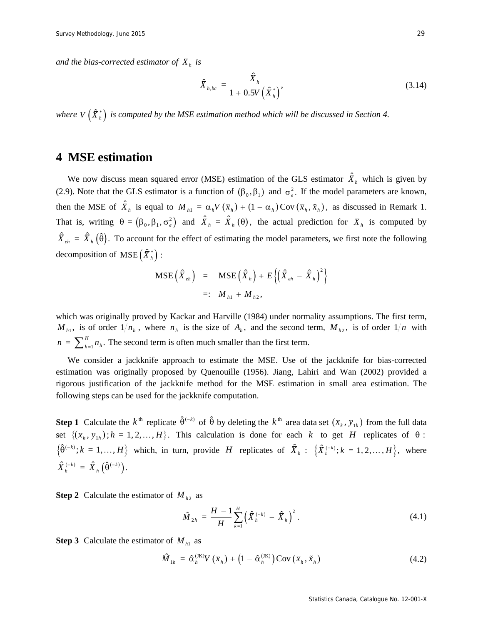*and the bias-corrected estimator of*  $\bar{X}_h$  *is* 

$$
\hat{\bar{X}}_{h,bc} = \frac{\hat{\bar{X}}_h}{1 + 0.5V\left(\hat{\bar{X}}_h^*\right)},
$$
\n(3.14)

*where V*  $(\hat{X}_{h}^{*})$  *is computed by the MSE estimation method which will be discussed in Section 4.* 

#### **4 MSE estimation**

We now discuss mean squared error (MSE) estimation of the GLS estimator  $\hat{X}_h$  which is given by (2.9). Note that the GLS estimator is a function of  $(\beta_0, \beta_1)$  and  $\sigma_e^2$ . If the model parameters are known, then the MSE of  $\hat{X}_h$  is equal to  $M_{h1} = \alpha_h V(\bar{x}_h) + (1 - \alpha_h) \text{Cov}(\bar{x}_h, \tilde{x}_h)$ , as discussed in Remark 1. That is, writing  $\theta = (\beta_0, \beta_1, \sigma_e^2)$  and  $\hat{X}_h = \hat{X}_h(\theta)$ , the actual prediction for  $\overline{X}_h$  is computed by  $\hat{\overline{X}}_{eh} = \hat{\overline{X}}_h(\hat{\theta})$ . To account for the effect of estimating the model parameters, we first note the following decomposition of  $MSE\left(\hat{X}_{h}^{*}\right)$ :

$$
\begin{array}{rcl} \text{MSE} \left( \hat{X}_{eh} \right) & = & \text{MSE} \left( \hat{X}_h \right) + E \left\{ \left( \hat{X}_{eh} - \hat{X}_h \right)^2 \right\} \\ & = & : & M_{h1} + M_{h2}, \end{array}
$$

which was originally proved by Kackar and Harville (1984) under normality assumptions. The first term,  $M_{h1}$ , is of order  $1/n_h$ , where  $n_h$  is the size of  $A_h$ , and the second term,  $M_{h2}$ , is of order  $1/n$  with  $n = \sum_{h=1}^{H} n_h$ . The second term is often much smaller than the first term.

We consider a jackknife approach to estimate the MSE. Use of the jackknife for bias-corrected estimation was originally proposed by Quenouille (1956). Jiang, Lahiri and Wan (2002) provided a rigorous justification of the jackknife method for the MSE estimation in small area estimation. The following steps can be used for the jackknife computation.

**Step 1** Calculate the  $k^{\text{th}}$  replicate  $\hat{\theta}^{(-k)}$  of  $\hat{\theta}$  by deleting the  $k^{\text{th}}$  area data set  $(\bar{x}_k, \bar{y}_k)$  from the full data set  $\{(\bar{x}_h, \bar{y}_h) : h = 1, 2, ..., H\}$ . This calculation is done for each *k* to get *H* replicates of  $\theta$ :  $\{\hat{\theta}^{(-k)}; k = 1, \ldots, H\}$  which, in turn, provide *H* replicates of  $\hat{X}_h$ :  $\{\hat{X}_h^{(-k)}; k = 1, 2, \ldots, H\}$ , where  $\hat{\bar{X}}_h^{(-k)} = \hat{\bar{X}}_h \left( \hat{\theta}^{(-k)} \right).$ 

**Step 2** Calculate the estimator of  $M_{h2}$  as

$$
\hat{M}_{2h} = \frac{H-1}{H} \sum_{k=1}^{H} \left( \hat{\bar{X}}_h^{(-k)} - \hat{\bar{X}}_h \right)^2.
$$
\n(4.1)

**Step 3** Calculate the estimator of  $M_{h1}$  as

$$
\hat{M}_{1h} = \hat{\alpha}_h^{(\text{IK})} V(\bar{x}_h) + \left(1 - \hat{\alpha}_h^{(\text{IK})}\right) \text{Cov}\left(\bar{x}_h, \tilde{x}_h\right) \tag{4.2}
$$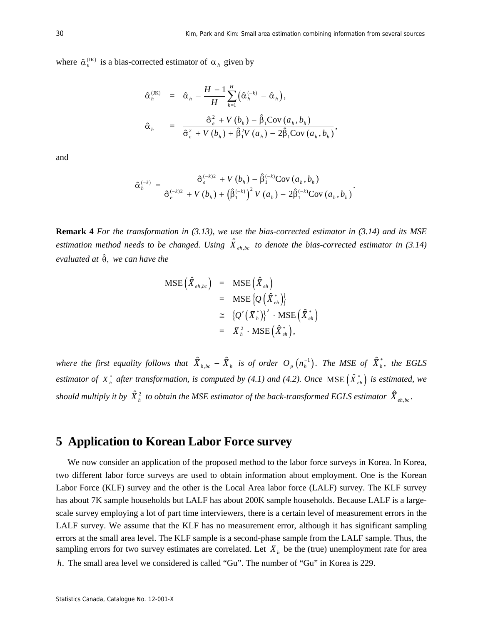where  $\hat{\alpha}_h^{(JK)}$  is a bias-corrected estimator of  $\alpha_h$  given by

$$
\hat{\alpha}_{h}^{(IK)} = \hat{\alpha}_{h} - \frac{H - 1}{H} \sum_{k=1}^{H} (\hat{\alpha}_{h}^{(-k)} - \hat{\alpha}_{h}),
$$
  

$$
\hat{\alpha}_{h} = \frac{\hat{\sigma}_{e}^{2} + V(b_{h}) - \hat{\beta}_{1}Cov(a_{h}, b_{h})}{\hat{\sigma}_{e}^{2} + V(b_{h}) + \hat{\beta}_{1}^{2}V(a_{h}) - 2\hat{\beta}_{1}Cov(a_{h}, b_{h})},
$$

and

$$
\hat{\alpha}_{h}^{(-k)} = \frac{\hat{\sigma}_{e}^{(-k)2} + V(b_h) - \hat{\beta}_{1}^{(-k)} \text{Cov}(a_h, b_h)}{\hat{\sigma}_{e}^{(-k)2} + V(b_h) + (\hat{\beta}_{1}^{(-k)})^2 V(a_h) - 2\hat{\beta}_{1}^{(-k)} \text{Cov}(a_h, b_h)}.
$$

**Remark 4** *For the transformation in (3.13), we use the bias-corrected estimator in (3.14) and its MSE*  estimation method needs to be changed. Using  $\hat{X}_{eh,bc}$  to denote the bias-corrected estimator in (3.14) *evaluated at* ˆ , *we can have the* 

$$
\begin{array}{rcl} \text{MSE} \left( \hat{\bar{X}}_{\scriptscriptstyle{eh, bc}} \right) & = & \text{MSE} \left( \hat{\bar{X}}_{\scriptscriptstyle{eh}} \right) \\ & = & \text{MSE} \left\{ \mathcal{Q} \left( \hat{\bar{X}}_{\scriptscriptstyle{eh}}^{*} \right) \right\} \\ & \cong & \left\{ \mathcal{Q}^{\prime} \left( \bar{X}_{\scriptscriptstyle{h}}^{*} \right) \right\}^{2} \cdot \text{MSE} \left( \hat{\bar{X}}_{\scriptscriptstyle{eh}}^{*} \right) \\ & = & \bar{X}_{\scriptscriptstyle{h}}^{2} \cdot \text{MSE} \left( \hat{\bar{X}}_{\scriptscriptstyle{eh}}^{*} \right), \end{array}
$$

*where the first equality follows that*  $\hat{\overline{X}}_{h,bc} - \hat{\overline{X}}_h$  *is of order*  $O_p(n_h^{-1})$ *. The MSE of*  $\hat{\overline{X}}_h^*$ *, the EGLS estimator of*  $\bar{X}^*_{h}$  *after transformation, is computed by (4.1) and (4.2). Once* MSE  $(\hat{X}^*_{eh})$  *is estimated, we should multiply it by*  $\hat{X}_h^2$  *to obtain the MSE estimator of the back-transformed EGLS estimator*  $\hat{X}_{eh,bc}$ *.* 

# **5 Application to Korean Labor Force survey**

We now consider an application of the proposed method to the labor force surveys in Korea. In Korea, two different labor force surveys are used to obtain information about employment. One is the Korean Labor Force (KLF) survey and the other is the Local Area labor force (LALF) survey. The KLF survey has about 7K sample households but LALF has about 200K sample households. Because LALF is a largescale survey employing a lot of part time interviewers, there is a certain level of measurement errors in the LALF survey. We assume that the KLF has no measurement error, although it has significant sampling errors at the small area level. The KLF sample is a second-phase sample from the LALF sample. Thus, the sampling errors for two survey estimates are correlated. Let  $\bar{X}_h$  be the (true) unemployment rate for area *h*. The small area level we considered is called "Gu". The number of "Gu" in Korea is 229.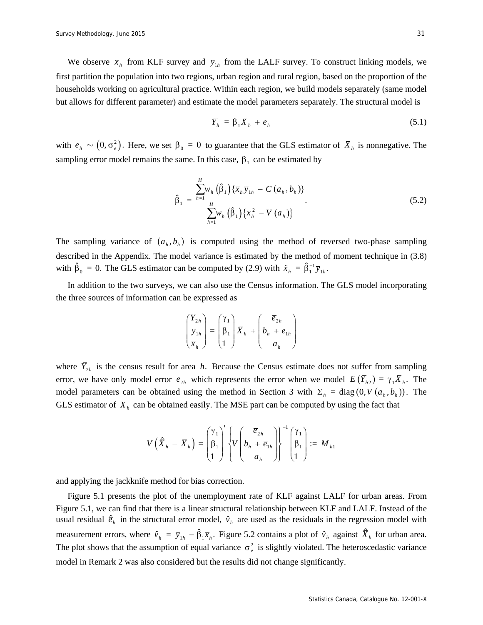We observe  $\bar{x}_h$  from KLF survey and  $\bar{y}_{1h}$  from the LALF survey. To construct linking models, we first partition the population into two regions, urban region and rural region, based on the proportion of the households working on agricultural practice. Within each region, we build models separately (same model but allows for different parameter) and estimate the model parameters separately. The structural model is

$$
\overline{Y}_h = \beta_1 \overline{X}_h + e_h \tag{5.1}
$$

with  $e_h \sim (0, \sigma_e^2)$ . Here, we set  $\beta_0 = 0$  to guarantee that the GLS estimator of  $\overline{X}_h$  is nonnegative. The sampling error model remains the same. In this case,  $\beta_1$  can be estimated by

$$
\hat{\beta}_1 = \frac{\sum_{h=1}^{H} w_h(\hat{\beta}_1) \{ \overline{x}_h \overline{y}_{1h} - C(a_h, b_h) \}}{\sum_{h=1}^{H} w_h(\hat{\beta}_1) \{ \overline{x}_h^2 - V(a_h) \}}.
$$
\n(5.2)

The sampling variance of  $(a_h, b_h)$  is computed using the method of reversed two-phase sampling described in the Appendix. The model variance is estimated by the method of moment technique in (3.8) with  $\hat{\beta}_0 = 0$ . The GLS estimator can be computed by (2.9) with  $\tilde{x}_h = \hat{\beta}_1^{-1} \bar{y}_{1h}$ .

In addition to the two surveys, we can also use the Census information. The GLS model incorporating the three sources of information can be expressed as

$$
\begin{pmatrix} \overline{Y}_{2h} \\ \overline{y}_{1h} \\ \overline{x}_h \end{pmatrix} = \begin{pmatrix} \gamma_1 \\ \beta_1 \\ 1 \end{pmatrix} \overline{X}_h + \begin{pmatrix} \overline{e}_{2h} \\ b_h + \overline{e}_{1h} \\ a_h \end{pmatrix}
$$

where  $\bar{Y}_{2h}$  is the census result for area *h*. Because the Census estimate does not suffer from sampling error, we have only model error  $e_{2h}$  which represents the error when we model  $E(\overline{Y}_{h2}) = \gamma_1 \overline{X}_h$ . The model parameters can be obtained using the method in Section 3 with  $\Sigma_h = \text{diag}(0, V(a_h, b_h))$ . The GLS estimator of  $\bar{X}_h$  can be obtained easily. The MSE part can be computed by using the fact that

$$
V\left(\hat{X}_{h} - \overline{X}_{h}\right) = \begin{pmatrix} \gamma_{1} \\ \beta_{1} \\ 1 \end{pmatrix}^{T} \left\{ V\left(b_{h} + \overline{e}_{1h} \\ a_{h} \end{pmatrix} \right\}^{-1} \begin{pmatrix} \gamma_{1} \\ \beta_{1} \\ 1 \end{pmatrix} := M_{h1}
$$

and applying the jackknife method for bias correction.

Figure 5.1 presents the plot of the unemployment rate of KLF against LALF for urban areas. From Figure 5.1, we can find that there is a linear structural relationship between KLF and LALF. Instead of the usual residual  $\hat{e}_h$  in the structural error model,  $\hat{v}_h$  are used as the residuals in the regression model with measurement errors, where  $\hat{v}_h = \bar{y}_{1h} - \hat{\beta}_1 \bar{x}_h$ . Figure 5.2 contains a plot of  $\hat{v}_h$  against  $\hat{X}_h$  for urban area. The plot shows that the assumption of equal variance  $\sigma_e^2$  is slightly violated. The heteroscedastic variance model in Remark 2 was also considered but the results did not change significantly.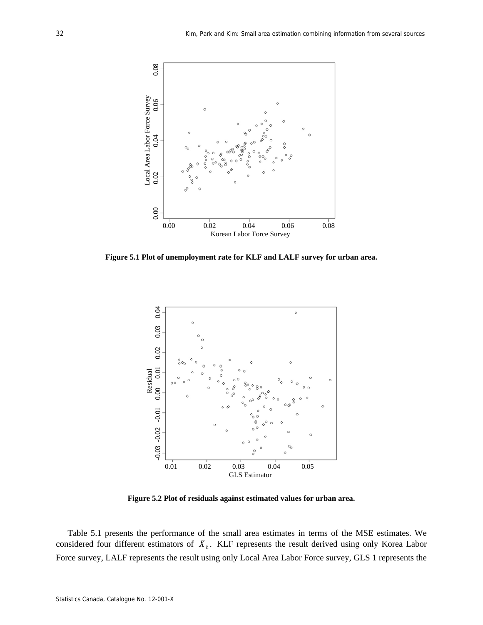

**Figure 5.1 Plot of unemployment rate for KLF and LALF survey for urban area.** 



**Figure 5.2 Plot of residuals against estimated values for urban area.** 

Table 5.1 presents the performance of the small area estimates in terms of the MSE estimates. We considered four different estimators of  $\overline{X}_h$ . KLF represents the result derived using only Korea Labor Force survey, LALF represents the result using only Local Area Labor Force survey, GLS 1 represents the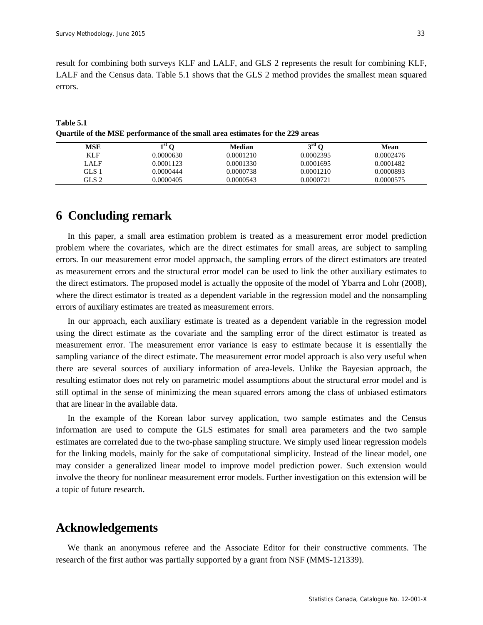result for combining both surveys KLF and LALF, and GLS 2 represents the result for combining KLF, LALF and the Census data. Table 5.1 shows that the GLS 2 method provides the smallest mean squared errors.

**Table 5.1 Quartile of the MSE performance of the small area estimates for the 229 areas** 

| MSE        | $\mathbf{st}$ $\alpha$ | Median    | $\gamma$ rd $\gamma$ | Mean      |
|------------|------------------------|-----------|----------------------|-----------|
| <b>KLF</b> | 0.0000630              | 0.0001210 | 0.0002395            | 0.0002476 |
| LALF       | 0.0001123              | 0.0001330 | 0.0001695            | 0.0001482 |
| GLS 1      | 0.0000444              | 0.0000738 | 0.0001210            | 0.0000893 |
| GLS 2      | 0.0000405              | 0.0000543 | 0.0000721            | 0.0000575 |

## **6 Concluding remark**

In this paper, a small area estimation problem is treated as a measurement error model prediction problem where the covariates, which are the direct estimates for small areas, are subject to sampling errors. In our measurement error model approach, the sampling errors of the direct estimators are treated as measurement errors and the structural error model can be used to link the other auxiliary estimates to the direct estimators. The proposed model is actually the opposite of the model of Ybarra and Lohr (2008), where the direct estimator is treated as a dependent variable in the regression model and the nonsampling errors of auxiliary estimates are treated as measurement errors.

In our approach, each auxiliary estimate is treated as a dependent variable in the regression model using the direct estimate as the covariate and the sampling error of the direct estimator is treated as measurement error. The measurement error variance is easy to estimate because it is essentially the sampling variance of the direct estimate. The measurement error model approach is also very useful when there are several sources of auxiliary information of area-levels. Unlike the Bayesian approach, the resulting estimator does not rely on parametric model assumptions about the structural error model and is still optimal in the sense of minimizing the mean squared errors among the class of unbiased estimators that are linear in the available data.

In the example of the Korean labor survey application, two sample estimates and the Census information are used to compute the GLS estimates for small area parameters and the two sample estimates are correlated due to the two-phase sampling structure. We simply used linear regression models for the linking models, mainly for the sake of computational simplicity. Instead of the linear model, one may consider a generalized linear model to improve model prediction power. Such extension would involve the theory for nonlinear measurement error models. Further investigation on this extension will be a topic of future research.

## **Acknowledgements**

We thank an anonymous referee and the Associate Editor for their constructive comments. The research of the first author was partially supported by a grant from NSF (MMS-121339).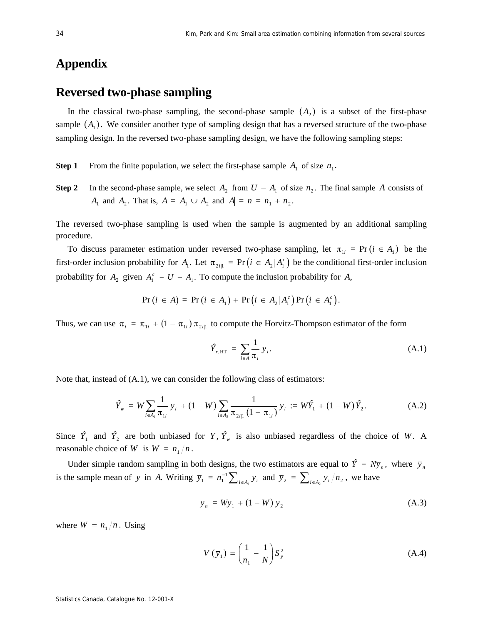# **Appendix**

# **Reversed two-phase sampling**

In the classical two-phase sampling, the second-phase sample  $(A<sub>2</sub>)$  is a subset of the first-phase sample  $(A_1)$ . We consider another type of sampling design that has a reversed structure of the two-phase sampling design. In the reversed two-phase sampling design, we have the following sampling steps:

**Step 1** From the finite population, we select the first-phase sample  $A_1$  of size  $n_1$ .

**Step 2** In the second-phase sample, we select  $A_2$  from  $U - A_1$  of size  $n_2$ . The final sample *A* consists of *A*<sub>1</sub> and *A*<sub>2</sub>. That is,  $A = A_1 \cup A_2$  and  $|A| = n = n_1 + n_2$ .

The reversed two-phase sampling is used when the sample is augmented by an additional sampling procedure.

To discuss parameter estimation under reversed two-phase sampling, let  $\pi_{1i} = Pr(i \in A_1)$  be the first-order inclusion probability for  $A_i$ . Let  $\pi_{2i|1} = \Pr(i \in A_2 | A_i^c)$  be the conditional first-order inclusion probability for  $A_2$  given  $A_1^c = U - A_1$ . To compute the inclusion probability for A,

$$
Pr(i \in A) = Pr(i \in A_1) + Pr(i \in A_2|A_1^c) Pr(i \in A_1^c).
$$

Thus, we can use  $\pi_i = \pi_{1i} + (1 - \pi_{1i}) \pi_{2i}$  to compute the Horvitz-Thompson estimator of the form

$$
\hat{Y}_{r,\text{HT}} = \sum_{i \in A} \frac{1}{\pi_i} y_i.
$$
\n(A.1)

Note that, instead of  $(A.1)$ , we can consider the following class of estimators:

$$
\hat{Y}_{w} = W \sum_{i \in A_{1}} \frac{1}{\pi_{1i}} y_{i} + (1 - W) \sum_{i \in A_{2}} \frac{1}{\pi_{2i|1} (1 - \pi_{1i})} y_{i} := W \hat{Y}_{1} + (1 - W) \hat{Y}_{2}.
$$
 (A.2)

Since  $\hat{Y}_1$  and  $\hat{Y}_2$  are both unbiased for *Y*,  $\hat{Y}_y$  is also unbiased regardless of the choice of *W*. A reasonable choice of *W* is  $W = n_1/n$ .

Under simple random sampling in both designs, the two estimators are equal to  $\hat{Y} = N\bar{y}_n$ , where  $\bar{y}_n$ is the sample mean of *y* in *A*. Writing  $\overline{y}_1 = n_1^{-1} \sum_{i \in A_1} y_i$  and  $\overline{y}_2 = \sum_{i \in A_2} y_i/n_2$ , we have

$$
\overline{y}_n = W\overline{y}_1 + (1 - W)\overline{y}_2 \tag{A.3}
$$

where  $W = n_1/n$ . Using

$$
V\left(\overline{y}_1\right) = \left(\frac{1}{n_1} - \frac{1}{N}\right) S_y^2 \tag{A.4}
$$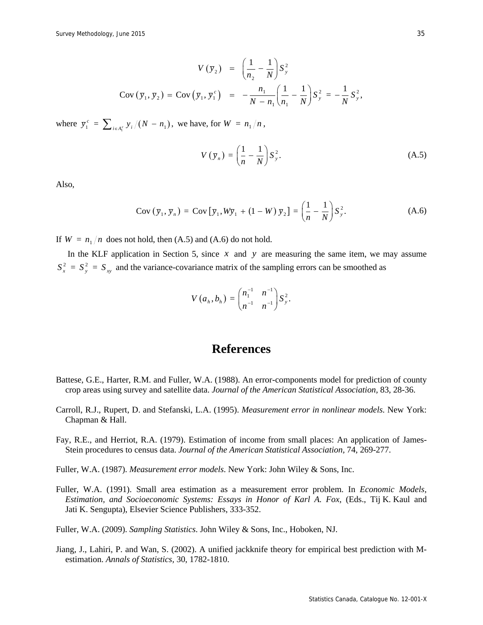$$
V(\bar{y}_2) = \left(\frac{1}{n_2} - \frac{1}{N}\right) S_y^2
$$
  
Cov  $(\bar{y}_1, \bar{y}_2)$  = Cov  $(\bar{y}_1, \bar{y}_1^c)$  =  $-\frac{n_1}{N - n_1} \left(\frac{1}{n_1} - \frac{1}{N}\right) S_y^2 = -\frac{1}{N} S_y^2$ ,

where  $\bar{y}_1^c = \sum_{i \in A_1^c} y_i / (N - n_1)$ , we have, for  $W = n_1/n$ ,

$$
V\left(\overline{y}_n\right) = \left(\frac{1}{n} - \frac{1}{N}\right) S_y^2. \tag{A.5}
$$

Also,

$$
\text{Cov}\left(\overline{y}_1, \overline{y}_n\right) = \text{Cov}\left[\overline{y}_1, W\overline{y}_1 + (1 - W)\,\overline{y}_2\right] = \left(\frac{1}{n} - \frac{1}{N}\right)S_y^2. \tag{A.6}
$$

If  $W = n_1/n$  does not hold, then (A.5) and (A.6) do not hold.

In the KLF application in Section 5, since *x* and *y* are measuring the same item, we may assume  $S_x^2 = S_y^2 = S_{xy}$  and the variance-covariance matrix of the sampling errors can be smoothed as

$$
V(a_h, b_h) = \begin{pmatrix} n_1^{-1} & n^{-1} \\ n^{-1} & n^{-1} \end{pmatrix} S_y^2.
$$

### **References**

- Battese, G.E., Harter, R.M. and Fuller, W.A. (1988). An error-components model for prediction of county crop areas using survey and satellite data. *Journal of the American Statistical Association,* 83, 28-36.
- Carroll, R.J., Rupert, D. and Stefanski, L.A. (1995). *Measurement error in nonlinear models*. New York: Chapman & Hall.
- Fay, R.E., and Herriot, R.A. (1979). Estimation of income from small places: An application of James-Stein procedures to census data. *Journal of the American Statistical Association,* 74, 269-277.
- Fuller, W.A. (1987). *Measurement error models*. New York: John Wiley & Sons, Inc.
- Fuller, W.A. (1991). Small area estimation as a measurement error problem. In *Economic Models, Estimation, and Socioeconomic Systems: Essays in Honor of Karl A. Fox*, (Eds., Tij K. Kaul and Jati K. Sengupta), Elsevier Science Publishers, 333-352.

Fuller, W.A. (2009). *Sampling Statistics*. John Wiley & Sons, Inc., Hoboken, NJ.

Jiang, J., Lahiri, P. and Wan, S. (2002). A unified jackknife theory for empirical best prediction with Mestimation. *Annals of Statistics,* 30, 1782-1810.